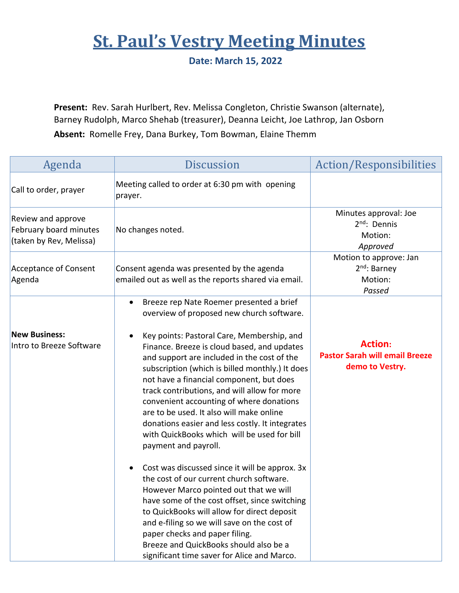## **St. Paul's Vestry Meeting Minutes**

**Date: March 15, 2022**

**Present:** Rev. Sarah Hurlbert, Rev. Melissa Congleton, Christie Swanson (alternate), Barney Rudolph, Marco Shehab (treasurer), Deanna Leicht, Joe Lathrop, Jan Osborn **Absent:** Romelle Frey, Dana Burkey, Tom Bowman, Elaine Themm

| Agenda                                                                  | <b>Discussion</b>                                                                                                                                                                                                                                                                                                                                                                                                                                                                                              | Action/Responsibilities                                                    |
|-------------------------------------------------------------------------|----------------------------------------------------------------------------------------------------------------------------------------------------------------------------------------------------------------------------------------------------------------------------------------------------------------------------------------------------------------------------------------------------------------------------------------------------------------------------------------------------------------|----------------------------------------------------------------------------|
| Call to order, prayer                                                   | Meeting called to order at 6:30 pm with opening<br>prayer.                                                                                                                                                                                                                                                                                                                                                                                                                                                     |                                                                            |
| Review and approve<br>February board minutes<br>(taken by Rev, Melissa) | No changes noted.                                                                                                                                                                                                                                                                                                                                                                                                                                                                                              | Minutes approval: Joe<br>2 <sup>nd</sup> : Dennis<br>Motion:<br>Approved   |
| <b>Acceptance of Consent</b><br>Agenda                                  | Consent agenda was presented by the agenda<br>emailed out as well as the reports shared via email.                                                                                                                                                                                                                                                                                                                                                                                                             | Motion to approve: Jan<br>$2nd$ : Barney<br>Motion:<br>Passed              |
|                                                                         | Breeze rep Nate Roemer presented a brief<br>overview of proposed new church software.                                                                                                                                                                                                                                                                                                                                                                                                                          |                                                                            |
| <b>New Business:</b><br>Intro to Breeze Software                        | Key points: Pastoral Care, Membership, and<br>٠<br>Finance. Breeze is cloud based, and updates<br>and support are included in the cost of the<br>subscription (which is billed monthly.) It does<br>not have a financial component, but does<br>track contributions, and will allow for more<br>convenient accounting of where donations<br>are to be used. It also will make online<br>donations easier and less costly. It integrates<br>with QuickBooks which will be used for bill<br>payment and payroll. | <b>Action:</b><br><b>Pastor Sarah will email Breeze</b><br>demo to Vestry. |
|                                                                         | Cost was discussed since it will be approx. 3x<br>the cost of our current church software.<br>However Marco pointed out that we will<br>have some of the cost offset, since switching<br>to QuickBooks will allow for direct deposit<br>and e-filing so we will save on the cost of<br>paper checks and paper filing.<br>Breeze and QuickBooks should also be a<br>significant time saver for Alice and Marco.                                                                                                 |                                                                            |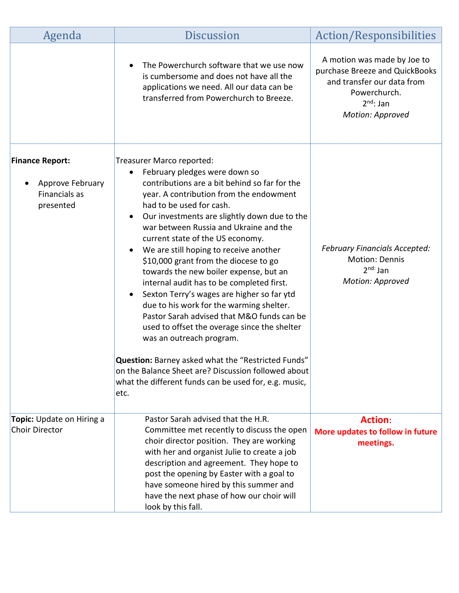| Agenda                                                                   | <b>Discussion</b>                                                                                                                                                                                                                                                                                                                                                                                                                                                                                                                                                                                                                                                                                                                                                                                                                                                                                         | Action/Responsibilities                                                                                                                           |
|--------------------------------------------------------------------------|-----------------------------------------------------------------------------------------------------------------------------------------------------------------------------------------------------------------------------------------------------------------------------------------------------------------------------------------------------------------------------------------------------------------------------------------------------------------------------------------------------------------------------------------------------------------------------------------------------------------------------------------------------------------------------------------------------------------------------------------------------------------------------------------------------------------------------------------------------------------------------------------------------------|---------------------------------------------------------------------------------------------------------------------------------------------------|
|                                                                          | The Powerchurch software that we use now<br>is cumbersome and does not have all the<br>applications we need. All our data can be<br>transferred from Powerchurch to Breeze.                                                                                                                                                                                                                                                                                                                                                                                                                                                                                                                                                                                                                                                                                                                               | A motion was made by Joe to<br>purchase Breeze and QuickBooks<br>and transfer our data from<br>Powerchurch.<br>$2^{nd}$ : Jan<br>Motion: Approved |
| <b>Finance Report:</b><br>Approve February<br>Financials as<br>presented | Treasurer Marco reported:<br>February pledges were down so<br>contributions are a bit behind so far for the<br>year. A contribution from the endowment<br>had to be used for cash.<br>Our investments are slightly down due to the<br>war between Russia and Ukraine and the<br>current state of the US economy.<br>We are still hoping to receive another<br>$\bullet$<br>\$10,000 grant from the diocese to go<br>towards the new boiler expense, but an<br>internal audit has to be completed first.<br>Sexton Terry's wages are higher so far ytd<br>due to his work for the warming shelter.<br>Pastor Sarah advised that M&O funds can be<br>used to offset the overage since the shelter<br>was an outreach program.<br>Question: Barney asked what the "Restricted Funds"<br>on the Balance Sheet are? Discussion followed about<br>what the different funds can be used for, e.g. music,<br>etc. | <b>February Financials Accepted:</b><br>Motion: Dennis<br>$2nd$ : Jan<br>Motion: Approved                                                         |
| Topic: Update on Hiring a<br>Choir Director                              | Pastor Sarah advised that the H.R.<br>Committee met recently to discuss the open<br>choir director position. They are working<br>with her and organist Julie to create a job<br>description and agreement. They hope to<br>post the opening by Easter with a goal to<br>have someone hired by this summer and<br>have the next phase of how our choir will<br>look by this fall.                                                                                                                                                                                                                                                                                                                                                                                                                                                                                                                          | <b>Action:</b><br>More updates to follow in future<br>meetings.                                                                                   |